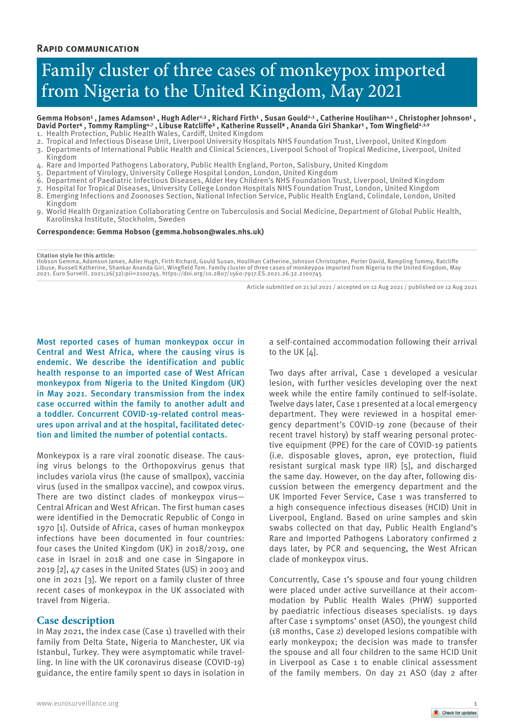## **Rapid communication**

# Family cluster of three cases of monkeypox imported from Nigeria to the United Kingdom, May 2021

#### Gemma Hobson<sup>1</sup> , James Adamson<sup>1</sup> , Hugh Adler<sup>2,3</sup> , Richard Firth<sup>1</sup> , Susan Gould<sup>2,3</sup> , Catherine Houlihan<sup>4,5</sup> , Christopher Johnson<sup>1</sup> , **David Porter⁶ , Tommy Rampling4,7 , Libuse Ratcliffe² , Katherine Russell⁸ , Ananda Giri Shankar¹ , Tom Wingfield2,3,9**

- 1. Health Protection, Public Health Wales, Cardiff, United Kingdom
- 2. Tropical and Infectious Disease Unit, Liverpool University Hospitals NHS Foundation Trust, Liverpool, United Kingdom
- 3. Departments of International Public Health and Clinical Sciences, Liverpool School of Tropical Medicine, Liverpool, United Kingdom
- 4. Rare and Imported Pathogens Laboratory, Public Health England, Porton, Salisbury, United Kingdom
- 5. Department of Virology, University College Hospital London, London, United Kingdom
- 6. Department of Paediatric Infectious Diseases, Alder Hey Children's NHS Foundation Trust, Liverpool, United Kingdom
- 7. Hospital for Tropical Diseases, University College London Hospitals NHS Foundation Trust, London, United Kingdom
- 8. Emerging Infections and Zoonoses Section, National Infection Service, Public Health England, Colindale, London, United Kingdom
- 9. World Health Organization Collaborating Centre on Tuberculosis and Social Medicine, Department of Global Public Health, Karolinska Institute, Stockholm, Sweden

#### **Correspondence: Gemma Hobson (gemma.hobson@wales.nhs.uk)**

#### **Citation style for this article:**

Hobson Gemma, Adamson James, Adler Hugh, Firth Richard, Gould Susan, Houlihan Catherine, Johnson Christopher, Porter David, Rampling Tommy, Ratcliffe<br>Libuse, Russell Katherine, Shankar Ananda Giri, Wingfield Tom. Family cl

Article submitted on 21 Jul 2021 / accepted on 12 Aug 2021 / published on 12 Aug 2021

Most reported cases of human monkeypox occur in Central and West Africa, where the causing virus is endemic. We describe the identification and public health response to an imported case of West African monkeypox from Nigeria to the United Kingdom (UK) in May 2021. Secondary transmission from the index case occurred within the family to another adult and a toddler. Concurrent COVID-19-related control measures upon arrival and at the hospital, facilitated detection and limited the number of potential contacts.

Monkeypox is a rare viral zoonotic disease. The causing virus belongs to the Orthopoxvirus genus that includes variola virus (the cause of smallpox), vaccinia virus (used in the smallpox vaccine), and cowpox virus. There are two distinct clades of monkeypox virus— Central African and West African. The first human cases were identified in the Democratic Republic of Congo in 1970 [1]. Outside of Africa, cases of human monkeypox infections have been documented in four countries: four cases the United Kingdom (UK) in 2018/2019, one case in Israel in 2018 and one case in Singapore in 2019 [2], 47 cases in the United States (US) in 2003 and one in 2021 [3]. We report on a family cluster of three recent cases of monkeypox in the UK associated with travel from Nigeria.

## **Case description**

In May 2021, the index case (Case 1) travelled with their family from Delta State, Nigeria to Manchester, UK via Istanbul, Turkey. They were asymptomatic while travelling. In line with the UK coronavirus disease (COVID-19) guidance, the entire family spent 10 days in isolation in

a self-contained accommodation following their arrival to the UK [4].

Two days after arrival, Case 1 developed a vesicular lesion, with further vesicles developing over the next week while the entire family continued to self-isolate. Twelve days later, Case 1 presented at a local emergency department. They were reviewed in a hospital emergency department's COVID-19 zone (because of their recent travel history) by staff wearing personal protective equipment (PPE) for the care of COVID-19 patients (i.e. disposable gloves, apron, eye protection, fluid resistant surgical mask type IIR) [5], and discharged the same day. However, on the day after, following discussion between the emergency department and the UK Imported Fever Service, Case 1 was transferred to a high consequence infectious diseases (HCID) Unit in Liverpool, England. Based on urine samples and skin swabs collected on that day, Public Health England's Rare and Imported Pathogens Laboratory confirmed 2 days later, by PCR and sequencing, the West African clade of monkeypox virus.

Concurrently, Case 1's spouse and four young children were placed under active surveillance at their accommodation by Public Health Wales (PHW) supported by paediatric infectious diseases specialists. 19 days after Case 1 symptoms' onset (ASO), the youngest child (18 months, Case 2) developed lesions compatible with early monkeypox; the decision was made to transfer the spouse and all four children to the same HCID Unit in Liverpool as Case 1 to enable clinical assessment of the family members. On day 21 ASO (day 2 after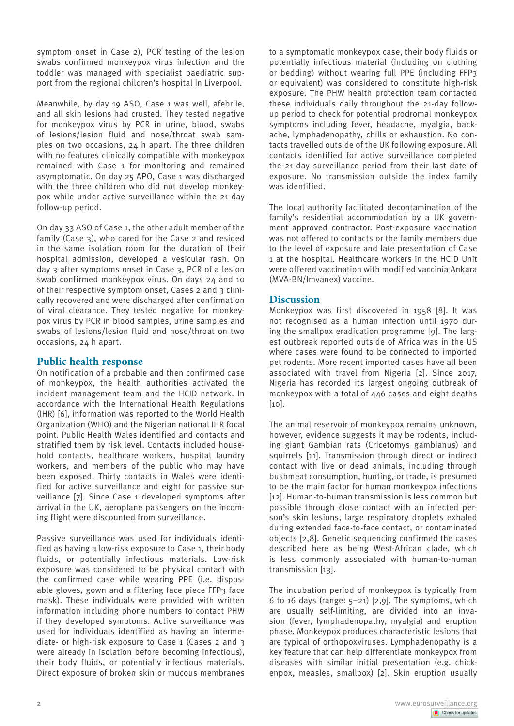symptom onset in Case 2), PCR testing of the lesion swabs confirmed monkeypox virus infection and the toddler was managed with specialist paediatric support from the regional children's hospital in Liverpool.

Meanwhile, by day 19 ASO, Case 1 was well, afebrile, and all skin lesions had crusted. They tested negative for monkeypox virus by PCR in urine, blood, swabs of lesions/lesion fluid and nose/throat swab samples on two occasions, 24 h apart. The three children with no features clinically compatible with monkeypox remained with Case 1 for monitoring and remained asymptomatic. On day 25 APO, Case 1 was discharged with the three children who did not develop monkeypox while under active surveillance within the 21-day follow-up period.

On day 33 ASO of Case 1, the other adult member of the family (Case 3), who cared for the Case 2 and resided in the same isolation room for the duration of their hospital admission, developed a vesicular rash. On day 3 after symptoms onset in Case 3, PCR of a lesion swab confirmed monkeypox virus. On days 24 and 10 of their respective symptom onset, Cases 2 and 3 clinically recovered and were discharged after confirmation of viral clearance. They tested negative for monkeypox virus by PCR in blood samples, urine samples and swabs of lesions/lesion fluid and nose/throat on two occasions, 24 h apart.

# **Public health response**

On notification of a probable and then confirmed case of monkeypox, the health authorities activated the incident management team and the HCID network. In accordance with the International Health Regulations (IHR) [6], information was reported to the World Health Organization (WHO) and the Nigerian national IHR focal point. Public Health Wales identified and contacts and stratified them by risk level. Contacts included household contacts, healthcare workers, hospital laundry workers, and members of the public who may have been exposed. Thirty contacts in Wales were identified for active surveillance and eight for passive surveillance [7]. Since Case 1 developed symptoms after arrival in the UK, aeroplane passengers on the incoming flight were discounted from surveillance.

Passive surveillance was used for individuals identified as having a low-risk exposure to Case 1, their body fluids, or potentially infectious materials. Low-risk exposure was considered to be physical contact with the confirmed case while wearing PPE (i.e. disposable gloves, gown and a filtering face piece FFP3 face mask). These individuals were provided with written information including phone numbers to contact PHW if they developed symptoms. Active surveillance was used for individuals identified as having an intermediate- or high-risk exposure to Case 1 (Cases 2 and 3 were already in isolation before becoming infectious), their body fluids, or potentially infectious materials. Direct exposure of broken skin or mucous membranes to a symptomatic monkeypox case, their body fluids or potentially infectious material (including on clothing or bedding) without wearing full PPE (including FFP3 or equivalent) was considered to constitute high-risk exposure. The PHW health protection team contacted these individuals daily throughout the 21-day followup period to check for potential prodromal monkeypox symptoms including fever, headache, myalgia, backache, lymphadenopathy, chills or exhaustion. No contacts travelled outside of the UK following exposure. All contacts identified for active surveillance completed the 21-day surveillance period from their last date of exposure. No transmission outside the index family was identified.

The local authority facilitated decontamination of the family's residential accommodation by a UK government approved contractor. Post-exposure vaccination was not offered to contacts or the family members due to the level of exposure and late presentation of Case 1 at the hospital. Healthcare workers in the HCID Unit were offered vaccination with modified vaccinia Ankara (MVA-BN/Imvanex) vaccine.

# **Discussion**

Monkeypox was first discovered in 1958 [8]. It was not recognised as a human infection until 1970 during the smallpox eradication programme [9]. The largest outbreak reported outside of Africa was in the US where cases were found to be connected to imported pet rodents. More recent imported cases have all been associated with travel from Nigeria [2]. Since 2017, Nigeria has recorded its largest ongoing outbreak of monkeypox with a total of 446 cases and eight deaths  $[10]$ .

The animal reservoir of monkeypox remains unknown, however, evidence suggests it may be rodents, including giant Gambian rats (Cricetomys gambianus) and squirrels [11]. Transmission through direct or indirect contact with live or dead animals, including through bushmeat consumption, hunting, or trade, is presumed to be the main factor for human monkeypox infections [12]. Human-to-human transmission is less common but possible through close contact with an infected person's skin lesions, large respiratory droplets exhaled during extended face-to-face contact, or contaminated objects [2,8]. Genetic sequencing confirmed the cases described here as being West-African clade, which is less commonly associated with human-to-human transmission [13].

The incubation period of monkeypox is typically from 6 to 16 days (range: 5–21) [2,9]. The symptoms, which are usually self-limiting, are divided into an invasion (fever, lymphadenopathy, myalgia) and eruption phase. Monkeypox produces characteristic lesions that are typical of orthopoxviruses. Lymphadenopathy is a key feature that can help differentiate monkeypox from diseases with similar initial presentation (e.g. chickenpox, measles, smallpox) [2]. Skin eruption usually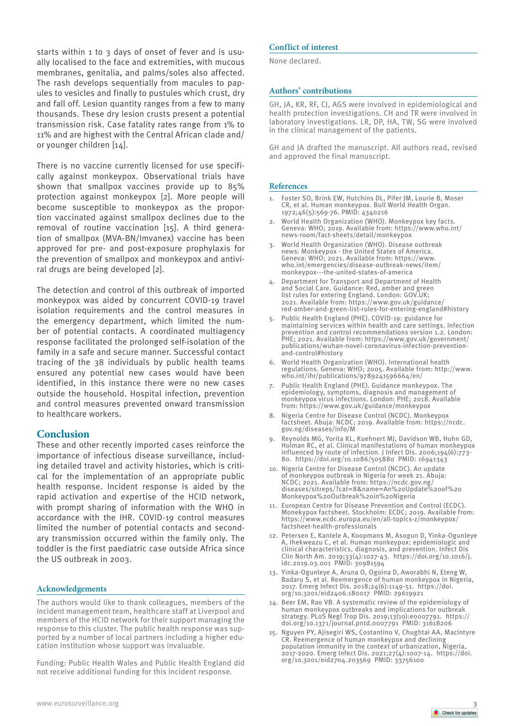starts within 1 to 3 days of onset of fever and is usually localised to the face and extremities, with mucous membranes, genitalia, and palms/soles also affected. The rash develops sequentially from macules to papules to vesicles and finally to pustules which crust, dry and fall off. Lesion quantity ranges from a few to many thousands. These dry lesion crusts present a potential transmission risk. Case fatality rates range from 1% to 11% and are highest with the Central African clade and/ or younger children [14].

There is no vaccine currently licensed for use specifically against monkeypox. Observational trials have shown that smallpox vaccines provide up to 85% protection against monkeypox [2]. More people will become susceptible to monkeypox as the proportion vaccinated against smallpox declines due to the removal of routine vaccination [15]. A third generation of smallpox (MVA-BN/Imvanex) vaccine has been approved for pre- and post-exposure prophylaxis for the prevention of smallpox and monkeypox and antiviral drugs are being developed [2].

The detection and control of this outbreak of imported monkeypox was aided by concurrent COVID-19 travel isolation requirements and the control measures in the emergency department, which limited the number of potential contacts. A coordinated multiagency response facilitated the prolonged self-isolation of the family in a safe and secure manner. Successful contact tracing of the 38 individuals by public health teams ensured any potential new cases would have been identified, in this instance there were no new cases outside the household. Hospital infection, prevention and control measures prevented onward transmission to healthcare workers.

## **Conclusion**

These and other recently imported cases reinforce the importance of infectious disease surveillance, including detailed travel and activity histories, which is critical for the implementation of an appropriate public health response. Incident response is aided by the rapid activation and expertise of the HCID network, with prompt sharing of information with the WHO in accordance with the IHR. COVID-19 control measures limited the number of potential contacts and secondary transmission occurred within the family only. The toddler is the first paediatric case outside Africa since the US outbreak in 2003.

## **Acknowledgements**

The authors would like to thank colleagues, members of the incident management team, healthcare staff at Liverpool and members of the HCID network for their support managing the response to this cluster. The public health response was supported by a number of local partners including a higher education institution whose support was invaluable.

Funding: Public Health Wales and Public Health England did not receive additional funding for this incident response.

### **Conflict of interest**

None declared.

#### **Authors' contributions**

GH, JA, KR, RF, CJ, AGS were involved in epidemiological and health protection investigations. CH and TR were involved in laboratory investigations. LR, DP, HA, TW, SG were involved in the clinical management of the patients.

GH and JA drafted the manuscript. All authors read, revised and approved the final manuscript.

#### **References**

- 1. Foster SO, Brink EW, Hutchins DL, Pifer JM, Lourie B, Moser CR, et al. Human monkeypox. Bull World Health Organ. 1972;46(5):569-76. PMID: 4340216
- World Health Organization (WHO). Monkeypox key facts. Geneva: WHO; 2019. Available from: https://www.who.int/ news-room/fact-sheets/detail/monkeypox
- 3. World Health Organization (WHO). Disease outbreak news: Monkeypox - the United States of America. Geneva: WHO; 2021. Available from: https://www. who.int/emergencies/disease-outbreak-news/item/ monkeypox---the-united-states-of-america
- 4. Department for Transport and Department of Health and Social Care. Guidance: Red, amber and green list rules for entering England. London: GOV.UK; 2021. Available from: https://www.gov.uk/guidance/ red-amber-and-green-list-rules-for-entering-england#history
- 5. Public Health England (PHE). COVID-19: guidance for maintaining services within health and care settings. Infection prevention and control recommendations version 1.2. London: PHE; 2021. Available from: https://www.gov.uk/government/ publications/wuhan-novel-coronavirus-infection-preventionand-control#history
- 6. World Health Organization (WHO). International health regulations. Geneva: WHO; 2005. Available from: http://www. who.int/ihr/publications/9789241596664/en/
- 7. Public Health England (PHE). Guidance monkeypox. The epidemiology, symptoms, diagnosis and management of monkeypox virus infections. London: PHE; 2018. Available from: https://www.gov.uk/guidance/monkeypox
- 8. Nigeria Centre for Disease Control (NCDC). Monkeypox factsheet. Abuja: NCDC; 2019. Available from: https://ncdc. gov.ng/diseases/info/M
- 9. Reynolds MG, Yorita KL, Kuehnert MJ, Davidson WB, Huhn GD, Holman RC, et al. Clinical manifestations of human monkeypox influenced by route of infection. J Infect Dis. 2006;194(6):773- 80. https://doi.org/10.1086/505880 PMID: 16941343
- 10. Nigeria Centre for Disease Control (NCDC). An update of monkeypox outbreak in Nigeria for week 21. Abuja: NCDC; 2021. Available from: https://ncdc.gov.ng/ diseases/sitreps/?cat=8&name=An%20Update%20of%20 Monkeypox%20Outbreak%20in%20Nigeria
- 11. European Centre for Disease Prevention and Control (ECDC). Monekypox factsheet. Stockholm: ECDC; 2019. Available from: https://www.ecdc.europa.eu/en/all-topics-z/monkeypox/ factsheet-health-professionals
- 12. Petersen E, Kantele A, Koopmans M, Asogun D, Yinka-Ogunleye A, Ihekweazu C, et al. Human monkeypox: epidemiologic and clinical characteristics, diagnosis, and prevention. Infect Dis Clin North Am. 2019;33(4):1027-43. https://doi.org/10.1016/j. idc.2019.03.001 PMID: 30981594
- 13. Yinka-Ogunleye A, Aruna O, Ogoina D, Aworabhi N, Eteng W, Badaru S, et al. Reemergence of human monkeypox in Nigeria, 2017. Emerg Infect Dis. 2018;24(6):1149-51. https://doi. org/10.3201/eid2406.180017 PMID: 29619921
- 14. Beer EM, Rao VB. A systematic review of the epidemiology of human monkeypox outbreaks and implications for outbreak strategy. PLoS Negl Trop Dis. 2019;13(10):e0007791. https:// doi.org/10.1371/journal.pntd.0007791 PMID: 31618206
- 15. Nguyen PY, Ajisegiri WS, Costantino V, Chughtai AA, MacIntyre CR. Reemergence of human monkeypox and declining population immunity in the context of urbanization, Nigeria, 2017-2020. Emerg Infect Dis. 2021;27(4):1007-14. https://doi. org/10.3201/eid2704.203569 PMID: 33756100